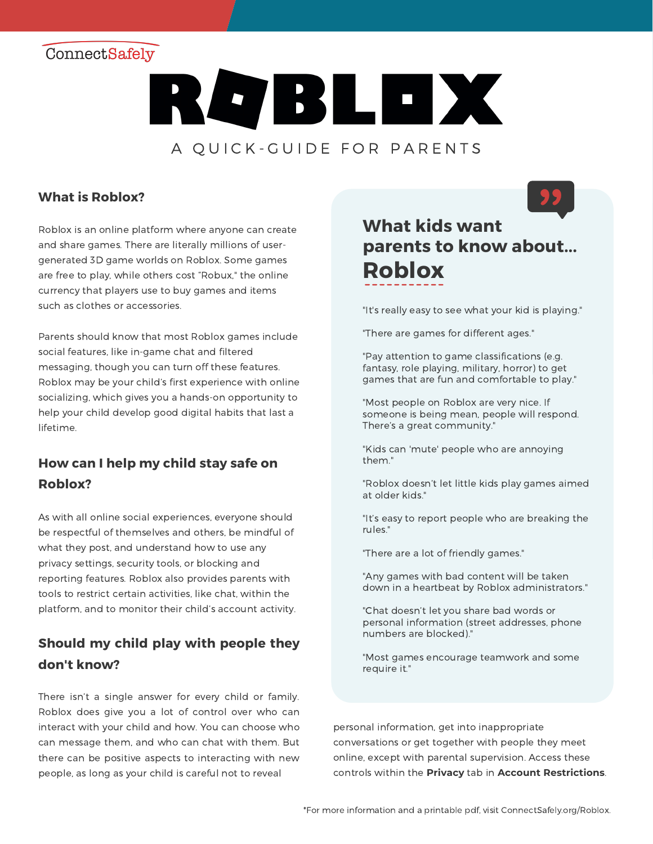## ConnectSafely



### **What is Roblox?**

Roblox is an online platform where anyone can create and share games. There are literally millions of usergenerated 3D game worlds on Roblox. Some games are free to play, while others cost "Robux," the online currency that players use to buy games and items such as clothes or accessories.

Parents should know that most Roblox games include social features, like in-game chat and filtered messaging, though you can turn off these features. Roblox may be your child's first experience with online socializing, which gives you a hands-on opportunity to help your child develop good digital habits that last a lifetime.

### **How can I help my child stay safe on Roblox?**

As with all online social experiences, everyone should be respectful of themselves and others, be mindful of what they post, and understand how to use any privacy settings, security tools, or blocking and reporting features. Roblox also provides parents with tools to restrict certain activities, like chat, within the platform, and to monitor their child's account activity.

### **Should my child play with people they don't know?**

There isn't a single answer for every child or family. Roblox does give you a lot of control over who can interact with your child and how. You can choose who can message them, and who can chat with them. But there can be positive aspects to interacting with new people, as long as your child is careful not to reveal

# **What kids want parents to know about... Roblox**

"It's really easy to see what your kid is playing."

"There are games for different ages."

"Pay attention to game classifications (e.g. fantasy, role playing, military, horror) to get games that are fun and comfortable to play."

"Most people on Roblox are very nice. If someone is being mean, people will respond. There's a great community."

"Kids can 'mute' people who are annoying them."

"Roblox doesn't let little kids play games aimed at older kids."

"It's easy to report people who are breaking the rules."

"There are a lot of friendly games."

"Any games with bad content will be taken down in a heartbeat by Roblox administrators."

"Chat doesn't let you share bad words or personal information (street addresses, phone numbers are blocked)."

"Most games encourage teamwork and some require it."

personal information, get into inappropriate conversations or get together with people they meet online, except with parental supervision. Access these controls within the **Privacy** tab in **Account Restrictions**.